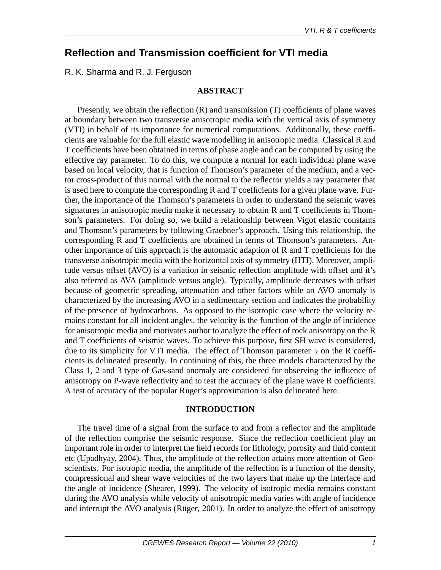# **Reflection and Transmission coefficient for VTI media**

R. K. Sharma and R. J. Ferguson

## **ABSTRACT**

Presently, we obtain the reflection (R) and transmission (T) coefficients of plane waves at boundary between two transverse anisotropic media with the vertical axis of symmetry (VTI) in behalf of its importance for numerical computations. Additionally, these coefficients are valuable for the full elastic wave modelling in anisotropic media. Classical R and T coefficients have been obtained in terms of phase angle and can be computed by using the effective ray parameter. To do this, we compute a normal for each individual plane wave based on local velocity, that is function of Thomson's parameter of the medium, and a vector cross-product of this normal with the normal to the reflector yields a ray parameter that is used here to compute the corresponding R and T coefficients for a given plane wave. Further, the importance of the Thomson's parameters in order to understand the seismic waves signatures in anisotropic media make it necessary to obtain R and T coefficients in Thomson's parameters. For doing so, we build a relationship between Vigot elastic constants and Thomson's parameters by following Graebner's approach. Using this relationship, the corresponding R and T coefficients are obtained in terms of Thomson's parameters. Another importance of this approach is the automatic adaption of R and T coefficients for the transverse anisotropic media with the horizontal axis of symmetry (HTI). Moreover, amplitude versus offset (AVO) is a variation in seismic reflection amplitude with offset and it's also referred as AVA (amplitude versus angle). Typically, amplitude decreases with offset because of geometric spreading, attenuation and other factors while an AVO anomaly is characterized by the increasing AVO in a sedimentary section and indicates the probability of the presence of hydrocarbons. As opposed to the isotropic case where the velocity remains constant for all incident angles, the velocity is the function of the angle of incidence for anisotropic media and motivates author to analyze the effect of rock anisotropy on the R and T coefficients of seismic waves. To achieve this purpose, first SH wave is considered, due to its simplicity for VTI media. The effect of Thomson parameter  $\gamma$  on the R coefficients is delineated presently. In continuing of this, the three models characterized by the Class 1, 2 and 3 type of Gas-sand anomaly are considered for observing the influence of anisotropy on P-wave reflectivity and to test the accuracy of the plane wave R coefficients. A test of accuracy of the popular Rüger's approximation is also delineated here.

### **INTRODUCTION**

The travel time of a signal from the surface to and from a reflector and the amplitude of the reflection comprise the seismic response. Since the reflection coefficient play an important role in order to interpret the field records for lithology, porosity and fluid content etc (Upadhyay, 2004). Thus, the amplitude of the reflection attains more attention of Geoscientists. For isotropic media, the amplitude of the reflection is a function of the density, compressional and shear wave velocities of the two layers that make up the interface and the angle of incidence (Shearer, 1999). The velocity of isotropic media remains constant during the AVO analysis while velocity of anisotropic media varies with angle of incidence and interrupt the AVO analysis (Rüger, 2001). In order to analyze the effect of anisotropy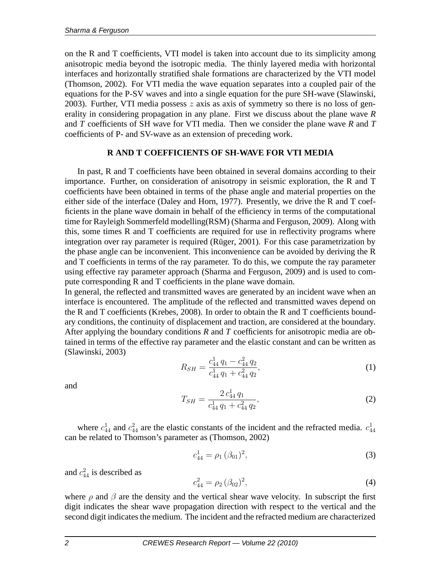on the R and T coefficients, VTI model is taken into account due to its simplicity among anisotropic media beyond the isotropic media. The thinly layered media with horizontal interfaces and horizontally stratified shale formations are characterized by the VTI model (Thomson, 2002). For VTI media the wave equation separates into a coupled pair of the equations for the P-SV waves and into a single equation for the pure SH-wave (Slawinski, 2003). Further, VTI media possess  $z$  axis as axis of symmetry so there is no loss of generality in considering propagation in any plane. First we discuss about the plane wave *R* and *T* coefficients of SH wave for VTI media. Then we consider the plane wave *R* and *T* coefficients of P- and SV-wave as an extension of preceding work.

## **R AND T COEFFICIENTS OF SH-WAVE FOR VTI MEDIA**

In past, R and T coefficients have been obtained in several domains according to their importance. Further, on consideration of anisotropy in seismic exploration, the R and T coefficients have been obtained in terms of the phase angle and material properties on the either side of the interface (Daley and Horn, 1977). Presently, we drive the R and T coefficients in the plane wave domain in behalf of the efficiency in terms of the computational time for Rayleigh Sommerfeld modelling(RSM) (Sharma and Ferguson, 2009). Along with this, some times R and T coefficients are required for use in reflectivity programs where integration over ray parameter is required (Rüger, 2001). For this case parametrization by the phase angle can be inconvenient. This inconvenience can be avoided by deriving the R and T coefficients in terms of the ray parameter. To do this, we compute the ray parameter using effective ray parameter approach (Sharma and Ferguson, 2009) and is used to compute corresponding R and T coefficients in the plane wave domain.

In general, the reflected and transmitted waves are generated by an incident wave when an interface is encountered. The amplitude of the reflected and transmitted waves depend on the R and T coefficients (Krebes, 2008). In order to obtain the R and T coefficients boundary conditions, the continuity of displacement and traction, are considered at the boundary. After applying the boundary conditions *R* and *T* coefficients for anisotropic media are obtained in terms of the effective ray parameter and the elastic constant and can be written as (Slawinski, 2003)

$$
R_{SH} = \frac{c_{44}^1 q_1 - c_{44}^2 q_2}{c_{44}^1 q_1 + c_{44}^2 q_2},\tag{1}
$$

and

$$
T_{SH} = \frac{2 c_{44}^1 q_1}{c_{44}^1 q_1 + c_{44}^2 q_2},\tag{2}
$$

where  $c_{44}^1$  and  $c_{44}^2$  are the elastic constants of the incident and the refracted media.  $c_{44}^1$ can be related to Thomson's parameter as (Thomson, 2002)

$$
c_{44}^1 = \rho_1 \, (\beta_{01})^2,\tag{3}
$$

and  $c_{44}^2$  is described as

$$
c_{44}^2 = \rho_2 \left(\beta_{02}\right)^2,\tag{4}
$$

where  $\rho$  and  $\beta$  are the density and the vertical shear wave velocity. In subscript the first digit indicates the shear wave propagation direction with respect to the vertical and the second digit indicates the medium. The incident and the refracted medium are characterized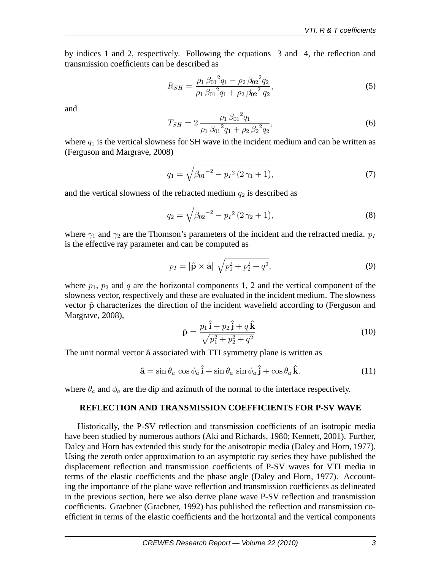by indices 1 and 2, respectively. Following the equations 3 and 4, the reflection and transmission coefficients can be described as

$$
R_{SH} = \frac{\rho_1 \beta_{01}^2 q_1 - \rho_2 \beta_{02}^2 q_2}{\rho_1 \beta_{01}^2 q_1 + \rho_2 \beta_{02}^2 q_2},
$$
\n(5)

and

$$
T_{SH} = 2 \frac{\rho_1 \beta_{01}^2 q_1}{\rho_1 \beta_{01}^2 q_1 + \rho_2 \beta_2^2 q_2},\tag{6}
$$

where  $q_1$  is the vertical slowness for SH wave in the incident medium and can be written as (Ferguson and Margrave, 2008)

$$
q_1 = \sqrt{\beta_{01}^{-2} - p_I^2 (2\gamma_1 + 1)},\tag{7}
$$

and the vertical slowness of the refracted medium  $q_2$  is described as

$$
q_2 = \sqrt{\beta_{02}^{-2} - p_I^2 (2\gamma_2 + 1)},
$$
\n(8)

where  $\gamma_1$  and  $\gamma_2$  are the Thomson's parameters of the incident and the refracted media.  $p_I$ is the effective ray parameter and can be computed as

$$
p_I = |\hat{\mathbf{p}} \times \hat{\mathbf{a}}| \sqrt{p_1^2 + p_2^2 + q^2},
$$
\n(9)

where  $p_1$ ,  $p_2$  and q are the horizontal components 1, 2 and the vertical component of the slowness vector, respectively and these are evaluated in the incident medium. The slowness vector  $\hat{p}$  characterizes the direction of the incident wavefield according to (Ferguson and Margrave, 2008),

$$
\hat{\mathbf{p}} = \frac{p_1 \,\hat{\mathbf{i}} + p_2 \,\hat{\mathbf{j}} + q \,\hat{\mathbf{k}}}{\sqrt{p_1^2 + p_2^2 + q^2}}.
$$
\n(10)

The unit normal vector  $\hat{a}$  associated with TTI symmetry plane is written as

$$
\hat{\mathbf{a}} = \sin \theta_a \cos \phi_a \hat{\mathbf{i}} + \sin \theta_a \sin \phi_a \hat{\mathbf{j}} + \cos \theta_a \hat{\mathbf{k}}.\tag{11}
$$

where  $\theta_a$  and  $\phi_a$  are the dip and azimuth of the normal to the interface respectively.

#### **REFLECTION AND TRANSMISSION COEFFICIENTS FOR P-SV WAVE**

Historically, the P-SV reflection and transmission coefficients of an isotropic media have been studied by numerous authors (Aki and Richards, 1980; Kennett, 2001). Further, Daley and Horn has extended this study for the anisotropic media (Daley and Horn, 1977). Using the zeroth order approximation to an asymptotic ray series they have published the displacement reflection and transmission coefficients of P-SV waves for VTI media in terms of the elastic coefficients and the phase angle (Daley and Horn, 1977). Accounting the importance of the plane wave reflection and transmission coefficients as delineated in the previous section, here we also derive plane wave P-SV reflection and transmission coefficients. Graebner (Graebner, 1992) has published the reflection and transmission coefficient in terms of the elastic coefficients and the horizontal and the vertical components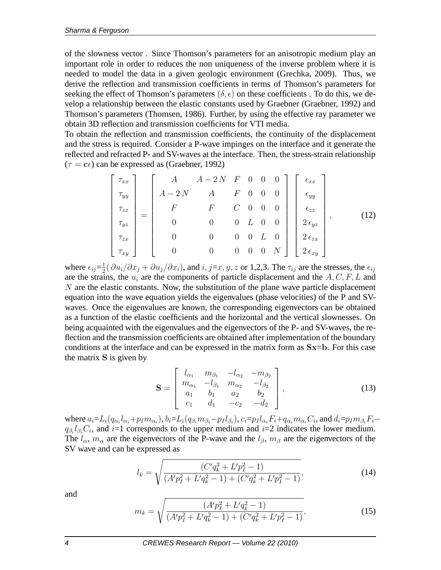of the slowness vector . Since Thomson's parameters for an anisotropic medium play an important role in order to reduces the non uniqueness of the inverse problem where it is needed to model the data in a given geologic environment (Grechka, 2009). Thus, we derive the reflection and transmission coefficients in terms of Thomson's parameters for seeking the effect of Thomson's parameters  $(\delta, \epsilon)$  on these coefficients. To do this, we develop a relationship between the elastic constants used by Graebner (Graebner, 1992) and Thomson's parameters (Thomsen, 1986). Further, by using the effective ray parameter we obtain 3D reflection and transmission coefficients for VTI media.

To obtain the reflection and transmission coefficients, the continuity of the displacement and the stress is required. Consider a P-wave impinges on the interface and it generate the reflected and refracted P- and SV-waves at the interface. Then, the stress-strain relationship  $(\tau = c\epsilon)$  can be expressed as (Graebner, 1992)

$$
\begin{bmatrix}\n\tau_{xx} \\
\tau_{yy} \\
\tau_{zz} \\
\tau_{yz} \\
\tau_{zx} \\
\tau_{xy}\n\end{bmatrix} = \begin{bmatrix}\nA & A-2N & F & 0 & 0 & 0 \\
A-2N & A & F & 0 & 0 & 0 \\
F & F & C & 0 & 0 & 0 \\
0 & 0 & 0 & L & 0 & 0 \\
0 & 0 & 0 & 0 & L & 0 \\
0 & 0 & 0 & 0 & 0 & N\n\end{bmatrix} \begin{bmatrix}\n\epsilon_{xx} \\
\epsilon_{yy} \\
\epsilon_{zz} \\
2\epsilon_{yz} \\
2\epsilon_{zx} \\
2\epsilon_{xy}\n\end{bmatrix},
$$
\n(12)

where  $\epsilon_{ij} = \frac{1}{2}$  $\frac{1}{2}(\partial u_i/\partial x_j + \partial u_j/\partial x_i)$ , and  $i, j=x, y, z$  or 1,2,3. The  $\tau_{ij}$  are the stresses, the  $\epsilon_{ij}$ are the strains, the  $u_i$  are the components of particle displacement and the  $A, C, F, L$  and  $N$  are the elastic constants. Now, the substitution of the plane wave particle displacement equation into the wave equation yields the eigenvalues (phase velocities) of the P and SVwaves. Once the eigenvalues are known, the corresponding eigenvectors can be obtained as a function of the elastic coefficients and the horizontal and the vertical slownesses. On being acquainted with the eigenvalues and the eigenvectors of the P- and SV-waves, the reflection and the transmission coefficients are obtained after implementation of the boundary conditions at the interface and can be expressed in the matrix form as Sx=b. For this case the matrix S is given by

$$
\mathbf{S} = \begin{bmatrix} l_{\alpha_1} & m_{\beta_1} & -l_{\alpha_2} & -m_{\beta_2} \\ m_{\alpha_1} & -l_{\beta_1} & m_{\alpha_2} & -l_{\beta_2} \\ a_1 & b_1 & a_2 & b_2 \\ c_1 & d_1 & -c_2 & -d_2 \end{bmatrix},
$$
(13)

where  $a_i = L_i(q_{\alpha_i}l_{\alpha_i}+p_Im_{\alpha_i})$ ,  $b_i = L_i(q_{\beta_i}m_{\beta_i}-p_Il_{\beta_i})$ ,  $c_i = p_Il_{\alpha_i}F_i+q_{\alpha_i}m_{\alpha_i}C_i$ , and  $d_i = p_Im_{\beta_i}F_i$  $q_{\beta_i} l_{\beta_i} C_i$ , and  $i=1$  corresponds to the upper medium and  $i=2$  indicates the lower medium. The  $l_{\alpha}$ ,  $m_{\alpha}$  are the eigenvectors of the P-wave and the  $l_{\beta}$ ,  $m_{\beta}$  are the eigenvectors of the SV wave and can be expressed as

$$
l_k = \sqrt{\frac{(C'q_k^2 + L'p_I^2 - 1)}{(A'p_I^2 + L'q_k^2 - 1) + (C'q_k^2 + L'p_I^2 - 1)}},\tag{14}
$$

and

$$
m_k = \sqrt{\frac{(A'p_I^2 + L'q_k^2 - 1)}{(A'p_I^2 + L'q_k^2 - 1) + (C'q_k^2 + L'p_I^2 - 1)}},\tag{15}
$$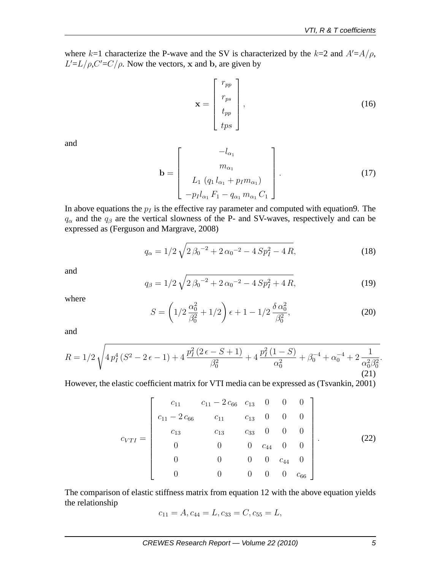where  $k=1$  characterize the P-wave and the SV is characterized by the  $k=2$  and  $A'=A/\rho$ ,  $L'=L/\rho$ ,  $C'=C/\rho$ . Now the vectors, x and b, are given by

$$
\mathbf{x} = \begin{bmatrix} r_{pp} \\ r_{ps} \\ t_{pp} \\ t_{ps} \end{bmatrix},
$$
 (16)

and

$$
\mathbf{b} = \begin{bmatrix} -l_{\alpha_1} \\ m_{\alpha_1} \\ L_1 (q_1 l_{\alpha_1} + p_I m_{\alpha_1}) \\ -p_I l_{\alpha_1} F_1 - q_{\alpha_1} m_{\alpha_1} C_1 \end{bmatrix} .
$$
 (17)

In above equations the  $p_I$  is the effective ray parameter and computed with equation9. The  $q_\alpha$  and the  $q_\beta$  are the vertical slowness of the P- and SV-waves, respectively and can be expressed as (Ferguson and Margrave, 2008)

$$
q_{\alpha} = 1/2 \sqrt{2 \beta_0^{-2} + 2 \alpha_0^{-2} - 4 \, Sp_I^2 - 4 \, R},\tag{18}
$$

and

$$
q_{\beta} = 1/2\sqrt{2\beta_0^{-2} + 2\alpha_0^{-2} - 4\,Sp_I^2 + 4\,R},\tag{19}
$$

where

$$
S = \left(1/2\frac{\alpha_0^2}{\beta_0^2} + 1/2\right)\epsilon + 1 - 1/2\frac{\delta\,\alpha_0^2}{\beta_0^2},\tag{20}
$$

and

$$
R = 1/2\sqrt{4\,p_I^4\,(S^2 - 2\,\epsilon - 1) + 4\,\frac{p_I^2\,(2\,\epsilon - S + 1)}{\beta_0^2} + 4\,\frac{p_I^2\,(1 - S)}{\alpha_0^2} + \beta_0^{-4} + \alpha_0^{-4} + 2\,\frac{1}{\alpha_0^2\beta_0^2}}.\tag{21}
$$

However, the elastic coefficient matrix for VTI media can be expressed as (Tsvankin, 2001)

$$
c_{VTI} = \begin{bmatrix} c_{11} & c_{11} - 2 c_{66} & c_{13} & 0 & 0 & 0 \\ c_{11} - 2 c_{66} & c_{11} & c_{13} & 0 & 0 & 0 \\ c_{13} & c_{13} & c_{33} & 0 & 0 & 0 \\ 0 & 0 & 0 & c_{44} & 0 & 0 \\ 0 & 0 & 0 & 0 & c_{44} & 0 \\ 0 & 0 & 0 & 0 & 0 & c_{66} \end{bmatrix} .
$$
 (22)

The comparison of elastic stiffness matrix from equation 12 with the above equation yields the relationship

$$
c_{11} = A, c_{44} = L, c_{33} = C, c_{55} = L,
$$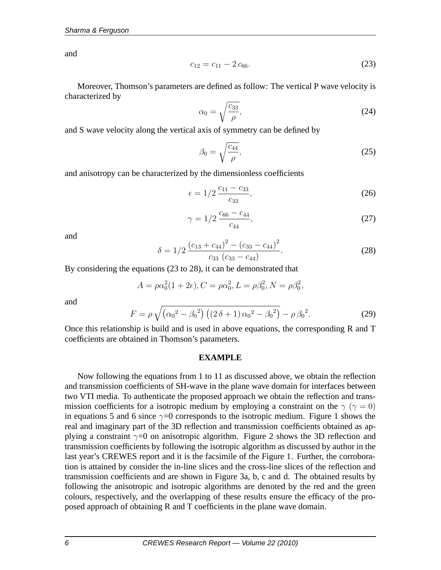and

$$
c_{12} = c_{11} - 2c_{66}.\tag{23}
$$

Moreover, Thomson's parameters are defined as follow: The vertical P wave velocity is characterized by

$$
\alpha_0 = \sqrt{\frac{c_{33}}{\rho}},\tag{24}
$$

and S wave velocity along the vertical axis of symmetry can be defined by

$$
\beta_0 = \sqrt{\frac{c_{44}}{\rho}},\tag{25}
$$

and anisotropy can be characterized by the dimensionless coefficients

$$
\epsilon = 1/2 \frac{c_{11} - c_{33}}{c_{33}},\tag{26}
$$

$$
\gamma = 1/2 \frac{c_{66} - c_{44}}{c_{44}},\tag{27}
$$

and

$$
\delta = 1/2 \frac{(c_{13} + c_{44})^2 - (c_{33} - c_{44})^2}{c_{33} (c_{33} - c_{44})}.
$$
\n(28)

By considering the equations (23 to 28), it can be demonstrated that

$$
A = \rho \alpha_0^2 (1 + 2\epsilon), C = \rho \alpha_0^2, L = \rho \beta_0^2, N = \rho \beta_0^2,
$$

and

$$
F = \rho \sqrt{(\alpha_0^2 - \beta_0^2) ((2 \delta + 1) \alpha_0^2 - \beta_0^2)} - \rho \beta_0^2.
$$
 (29)

Once this relationship is build and is used in above equations, the corresponding R and T coefficients are obtained in Thomson's parameters.

#### **EXAMPLE**

Now following the equations from 1 to 11 as discussed above, we obtain the reflection and transmission coefficients of SH-wave in the plane wave domain for interfaces between two VTI media. To authenticate the proposed approach we obtain the reflection and transmission coefficients for a isotropic medium by employing a constraint on the  $\gamma$  ( $\gamma = 0$ ) in equations 5 and 6 since  $\gamma=0$  corresponds to the isotropic medium. Figure 1 shows the real and imaginary part of the 3D reflection and transmission coefficients obtained as applying a constraint  $\gamma=0$  on anisotropic algorithm. Figure 2 shows the 3D reflection and transmission coefficients by following the isotropic algorithm as discussed by author in the last year's CREWES report and it is the facsimile of the Figure 1. Further, the corroboration is attained by consider the in-line slices and the cross-line slices of the reflection and transmission coefficients and are shown in Figure 3a, b, c and d. The obtained results by following the anisotropic and isotropic algorithms are denoted by the red and the green colours, respectively, and the overlapping of these results ensure the efficacy of the proposed approach of obtaining R and T coefficients in the plane wave domain.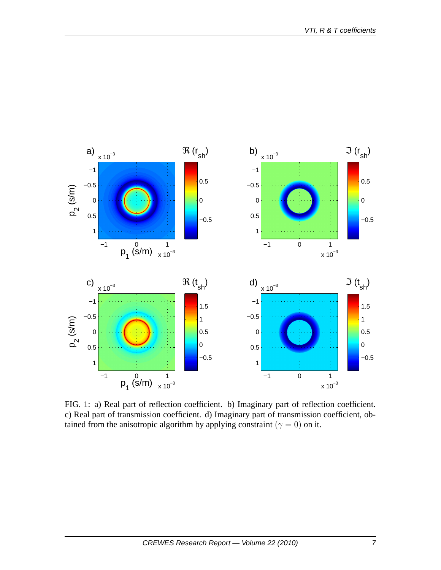

FIG. 1: a) Real part of reflection coefficient. b) Imaginary part of reflection coefficient. c) Real part of transmission coefficient. d) Imaginary part of transmission coefficient, obtained from the anisotropic algorithm by applying constraint ( $\gamma = 0$ ) on it.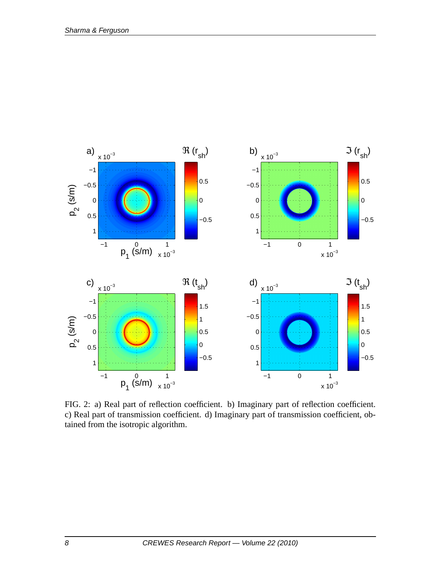

FIG. 2: a) Real part of reflection coefficient. b) Imaginary part of reflection coefficient. c) Real part of transmission coefficient. d) Imaginary part of transmission coefficient, obtained from the isotropic algorithm.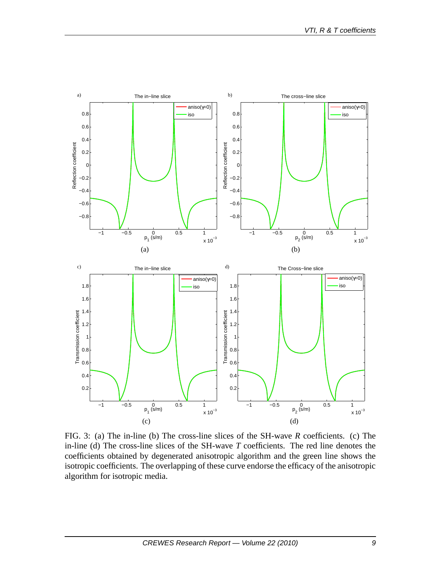

FIG. 3: (a) The in-line (b) The cross-line slices of the SH-wave *R* coefficients. (c) The in-line (d) The cross-line slices of the SH-wave *T* coefficients. The red line denotes the coefficients obtained by degenerated anisotropic algorithm and the green line shows the isotropic coefficients. The overlapping of these curve endorse the efficacy of the anisotropic algorithm for isotropic media.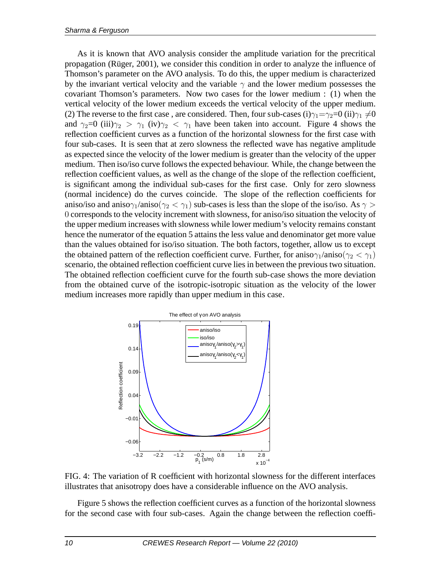As it is known that AVO analysis consider the amplitude variation for the precritical propagation (Rüger, 2001), we consider this condition in order to analyze the influence of Thomson's parameter on the AVO analysis. To do this, the upper medium is characterized by the invariant vertical velocity and the variable  $\gamma$  and the lower medium possesses the covariant Thomson's parameters. Now two cases for the lower medium : (1) when the vertical velocity of the lower medium exceeds the vertical velocity of the upper medium. (2) The reverse to the first case, are considered. Then, four sub-cases (i) $\gamma_1 = \gamma_2 = 0$  (ii) $\gamma_1 \neq 0$ and  $\gamma_2=0$  (iii) $\gamma_2 > \gamma_1$  (iv) $\gamma_2 < \gamma_1$  have been taken into account. Figure 4 shows the reflection coefficient curves as a function of the horizontal slowness for the first case with four sub-cases. It is seen that at zero slowness the reflected wave has negative amplitude as expected since the velocity of the lower medium is greater than the velocity of the upper medium. Then iso/iso curve follows the expected behaviour. While, the change between the reflection coefficient values, as well as the change of the slope of the reflection coefficient, is significant among the individual sub-cases for the first case. Only for zero slowness (normal incidence) do the curves coincide. The slope of the reflection coefficients for aniso/iso and aniso $\gamma_1$ /aniso $(\gamma_2 < \gamma_1)$  sub-cases is less than the slope of the iso/iso. As  $\gamma >$ 0 corresponds to the velocity increment with slowness, for aniso/iso situation the velocity of the upper medium increases with slowness while lower medium's velocity remains constant hence the numerator of the equation 5 attains the less value and denominator get more value than the values obtained for iso/iso situation. The both factors, together, allow us to except the obtained pattern of the reflection coefficient curve. Further, for aniso $\gamma_1$ /aniso $(\gamma_2 < \gamma_1)$ scenario, the obtained reflection coefficient curve lies in between the previous two situation. The obtained reflection coefficient curve for the fourth sub-case shows the more deviation from the obtained curve of the isotropic-isotropic situation as the velocity of the lower medium increases more rapidly than upper medium in this case.





Figure 5 shows the reflection coefficient curves as a function of the horizontal slowness for the second case with four sub-cases. Again the change between the reflection coeffi-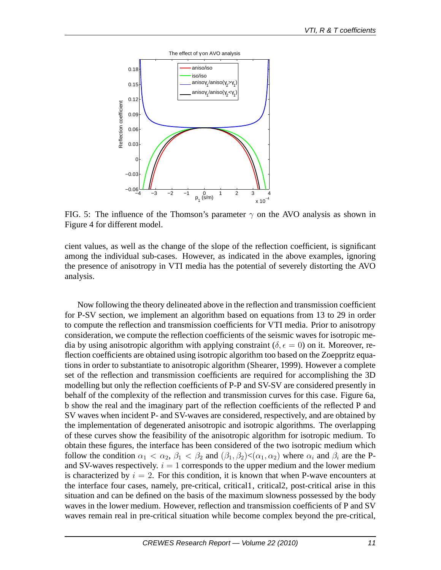

FIG. 5: The influence of the Thomson's parameter  $\gamma$  on the AVO analysis as shown in Figure 4 for different model.

cient values, as well as the change of the slope of the reflection coefficient, is significant among the individual sub-cases. However, as indicated in the above examples, ignoring the presence of anisotropy in VTI media has the potential of severely distorting the AVO analysis.

Now following the theory delineated above in the reflection and transmission coefficient for P-SV section, we implement an algorithm based on equations from 13 to 29 in order to compute the reflection and transmission coefficients for VTI media. Prior to anisotropy consideration, we compute the reflection coefficients of the seismic waves for isotropic media by using anisotropic algorithm with applying constraint ( $\delta, \epsilon = 0$ ) on it. Moreover, reflection coefficients are obtained using isotropic algorithm too based on the Zoeppritz equations in order to substantiate to anisotropic algorithm (Shearer, 1999). However a complete set of the reflection and transmission coefficients are required for accomplishing the 3D modelling but only the reflection coefficients of P-P and SV-SV are considered presently in behalf of the complexity of the reflection and transmission curves for this case. Figure 6a, b show the real and the imaginary part of the reflection coefficients of the reflected P and SV waves when incident P- and SV-waves are considered, respectively, and are obtained by the implementation of degenerated anisotropic and isotropic algorithms. The overlapping of these curves show the feasibility of the anisotropic algorithm for isotropic medium. To obtain these figures, the interface has been considered of the two isotropic medium which follow the condition  $\alpha_1 < \alpha_2$ ,  $\beta_1 < \beta_2$  and  $(\beta_1, \beta_2) < (\alpha_1, \alpha_2)$  where  $\alpha_i$  and  $\beta_i$  are the Pand SV-waves respectively.  $i = 1$  corresponds to the upper medium and the lower medium is characterized by  $i = 2$ . For this condition, it is known that when P-wave encounters at the interface four cases, namely, pre-critical, critical1, critical2, post-critical arise in this situation and can be defined on the basis of the maximum slowness possessed by the body waves in the lower medium. However, reflection and transmission coefficients of P and SV waves remain real in pre-critical situation while become complex beyond the pre-critical,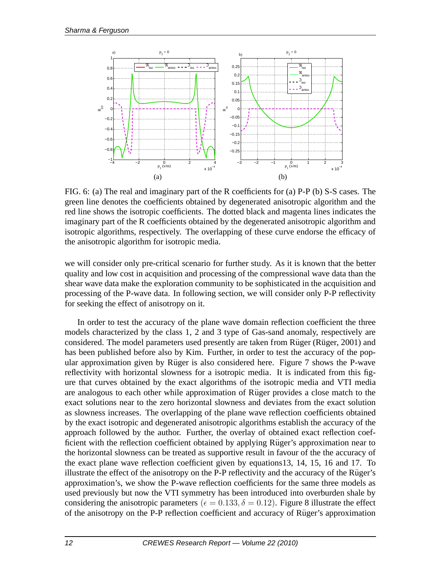

FIG. 6: (a) The real and imaginary part of the R coefficients for (a) P-P (b) S-S cases. The green line denotes the coefficients obtained by degenerated anisotropic algorithm and the red line shows the isotropic coefficients. The dotted black and magenta lines indicates the imaginary part of the R coefficients obtained by the degenerated anisotropic algorithm and isotropic algorithms, respectively. The overlapping of these curve endorse the efficacy of the anisotropic algorithm for isotropic media.

we will consider only pre-critical scenario for further study. As it is known that the better quality and low cost in acquisition and processing of the compressional wave data than the shear wave data make the exploration community to be sophisticated in the acquisition and processing of the P-wave data. In following section, we will consider only P-P reflectivity for seeking the effect of anisotropy on it.

In order to test the accuracy of the plane wave domain reflection coefficient the three models characterized by the class 1, 2 and 3 type of Gas-sand anomaly, respectively are considered. The model parameters used presently are taken from Rüger (Rüger, 2001) and has been published before also by Kim. Further, in order to test the accuracy of the popular approximation given by Rüger is also considered here. Figure 7 shows the P-wave reflectivity with horizontal slowness for a isotropic media. It is indicated from this figure that curves obtained by the exact algorithms of the isotropic media and VTI media are analogous to each other while approximation of Rüger provides a close match to the exact solutions near to the zero horizontal slowness and deviates from the exact solution as slowness increases. The overlapping of the plane wave reflection coefficients obtained by the exact isotropic and degenerated anisotropic algorithms establish the accuracy of the approach followed by the author. Further, the overlay of obtained exact reflection coefficient with the reflection coefficient obtained by applying Rüger's approximation near to the horizontal slowness can be treated as supportive result in favour of the the accuracy of the exact plane wave reflection coefficient given by equations13, 14, 15, 16 and 17. To illustrate the effect of the anisotropy on the P-P reflectivity and the accuracy of the Rüger's approximation's, we show the P-wave reflection coefficients for the same three models as used previously but now the VTI symmetry has been introduced into overburden shale by considering the anisotropic parameters ( $\epsilon = 0.133$ ,  $\delta = 0.12$ ). Figure 8 illustrate the effect of the anisotropy on the P-P reflection coefficient and accuracy of Rüger's approximation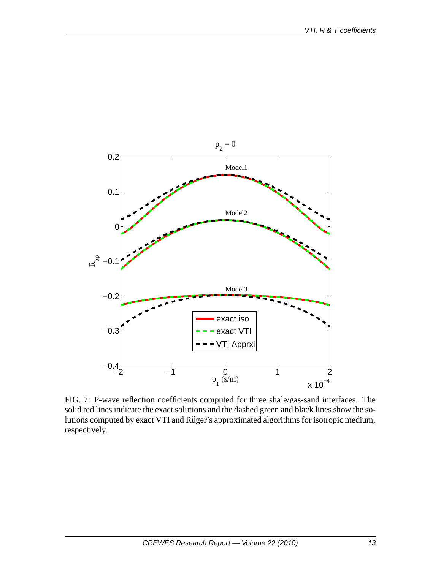

FIG. 7: P-wave reflection coefficients computed for three shale/gas-sand interfaces. The solid red lines indicate the exact solutions and the dashed green and black lines show the solutions computed by exact VTI and Rüger's approximated algorithms for isotropic medium, respectively.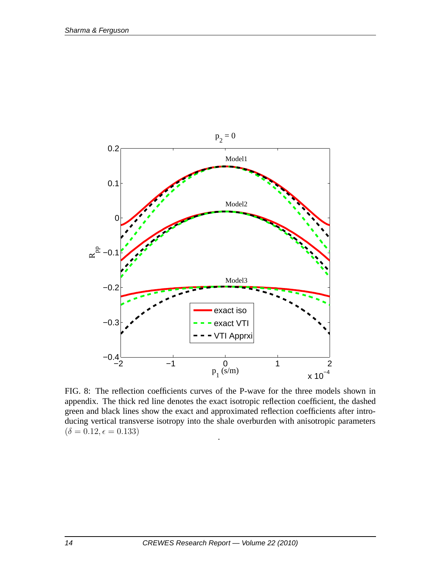

FIG. 8: The reflection coefficients curves of the P-wave for the three models shown in appendix. The thick red line denotes the exact isotropic reflection coefficient, the dashed green and black lines show the exact and approximated reflection coefficients after introducing vertical transverse isotropy into the shale overburden with anisotropic parameters  $(\delta = 0.12, \epsilon = 0.133)$ .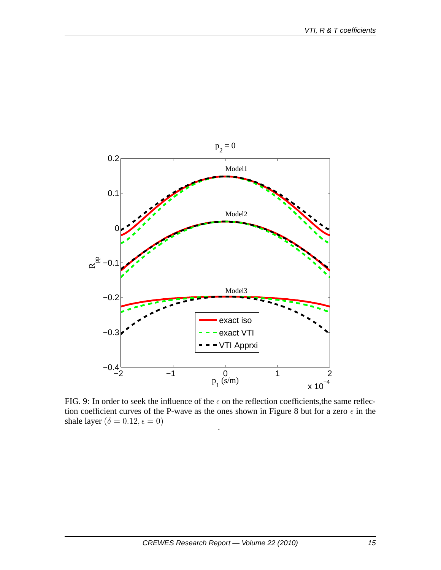

FIG. 9: In order to seek the influence of the  $\epsilon$  on the reflection coefficients, the same reflection coefficient curves of the P-wave as the ones shown in Figure 8 but for a zero  $\epsilon$  in the shale layer ( $\delta = 0.12, \epsilon = 0$ ) .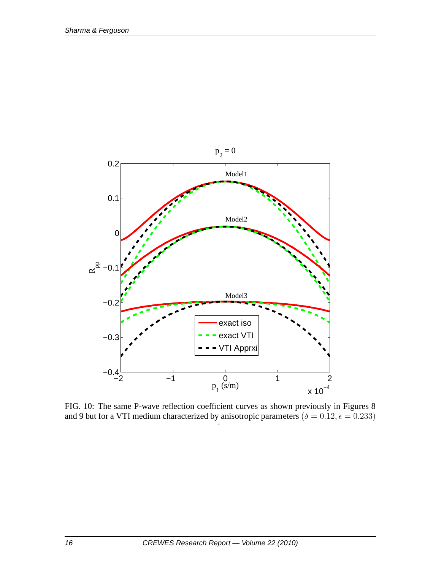

FIG. 10: The same P-wave reflection coefficient curves as shown previously in Figures 8 and 9 but for a VTI medium characterized by anisotropic parameters  $(\delta = 0.12, \epsilon = 0.233)$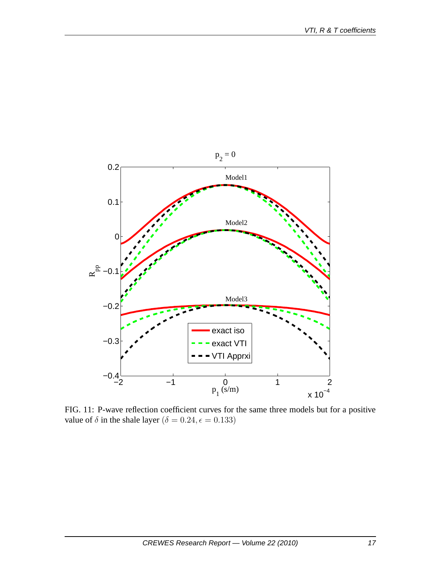

FIG. 11: P-wave reflection coefficient curves for the same three models but for a positive value of  $\delta$  in the shale layer ( $\delta = 0.24, \epsilon = 0.133$ )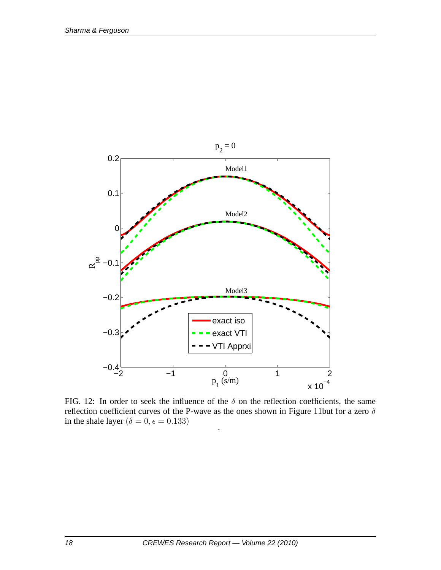

FIG. 12: In order to seek the influence of the  $\delta$  on the reflection coefficients, the same reflection coefficient curves of the P-wave as the ones shown in Figure 11but for a zero  $\delta$ in the shale layer ( $\delta = 0, \epsilon = 0.133)$ .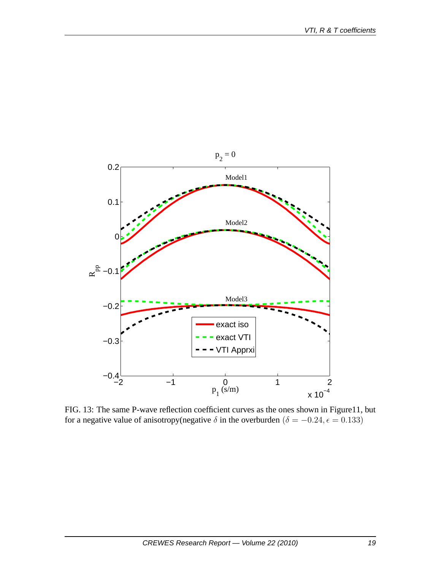

FIG. 13: The same P-wave reflection coefficient curves as the ones shown in Figure11, but for a negative value of anisotropy(negative  $\delta$  in the overburden ( $\delta = -0.24, \epsilon = 0.133$ )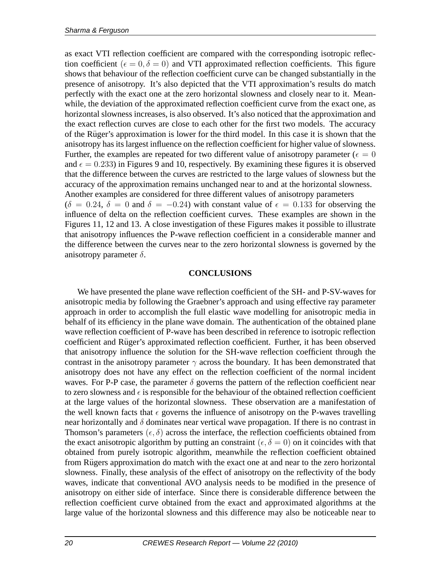as exact VTI reflection coefficient are compared with the corresponding isotropic reflection coefficient ( $\epsilon = 0, \delta = 0$ ) and VTI approximated reflection coefficients. This figure shows that behaviour of the reflection coefficient curve can be changed substantially in the presence of anisotropy. It's also depicted that the VTI approximation's results do match perfectly with the exact one at the zero horizontal slowness and closely near to it. Meanwhile, the deviation of the approximated reflection coefficient curve from the exact one, as horizontal slowness increases, is also observed. It's also noticed that the approximation and the exact reflection curves are close to each other for the first two models. The accuracy of the Rüger's approximation is lower for the third model. In this case it is shown that the anisotropy has its largest influence on the reflection coefficient for higher value of slowness. Further, the examples are repeated for two different value of anisotropy parameter ( $\epsilon = 0$ ) and  $\epsilon = 0.233$ ) in Figures 9 and 10, respectively. By examining these figures it is observed that the difference between the curves are restricted to the large values of slowness but the accuracy of the approximation remains unchanged near to and at the horizontal slowness. Another examples are considered for three different values of anisotropy parameters  $(\delta = 0.24, \delta = 0$  and  $\delta = -0.24$ ) with constant value of  $\epsilon = 0.133$  for observing the influence of delta on the reflection coefficient curves. These examples are shown in the

Figures 11, 12 and 13. A close investigation of these Figures makes it possible to illustrate that anisotropy influences the P-wave reflection coefficient in a considerable manner and the difference between the curves near to the zero horizontal slowness is governed by the anisotropy parameter  $\delta$ .

### **CONCLUSIONS**

We have presented the plane wave reflection coefficient of the SH- and P-SV-waves for anisotropic media by following the Graebner's approach and using effective ray parameter approach in order to accomplish the full elastic wave modelling for anisotropic media in behalf of its efficiency in the plane wave domain. The authentication of the obtained plane wave reflection coefficient of P-wave has been described in reference to isotropic reflection coefficient and Rüger's approximated reflection coefficient. Further, it has been observed that anisotropy influence the solution for the SH-wave reflection coefficient through the contrast in the anisotropy parameter  $\gamma$  across the boundary. It has been demonstrated that anisotropy does not have any effect on the reflection coefficient of the normal incident waves. For P-P case, the parameter  $\delta$  governs the pattern of the reflection coefficient near to zero slowness and  $\epsilon$  is responsible for the behaviour of the obtained reflection coefficient at the large values of the horizontal slowness. These observation are a manifestation of the well known facts that  $\epsilon$  governs the influence of anisotropy on the P-waves travelling near horizontally and  $\delta$  dominates near vertical wave propagation. If there is no contrast in Thomson's parameters  $(\epsilon, \delta)$  across the interface, the reflection coefficients obtained from the exact anisotropic algorithm by putting an constraint ( $\epsilon, \delta = 0$ ) on it coincides with that obtained from purely isotropic algorithm, meanwhile the reflection coefficient obtained from Rügers approximation do match with the exact one at and near to the zero horizontal slowness. Finally, these analysis of the effect of anisotropy on the reflectivity of the body waves, indicate that conventional AVO analysis needs to be modified in the presence of anisotropy on either side of interface. Since there is considerable difference between the reflection coefficient curve obtained from the exact and approximated algorithms at the large value of the horizontal slowness and this difference may also be noticeable near to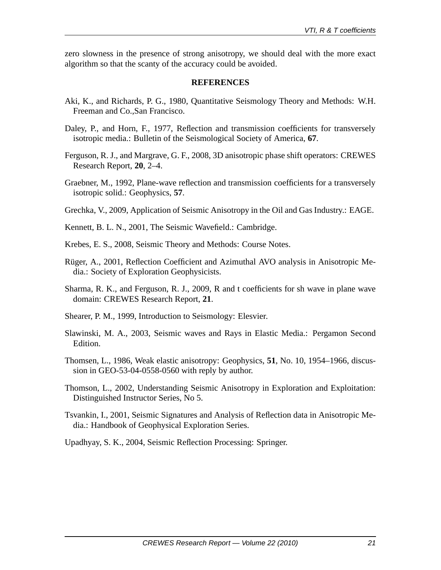zero slowness in the presence of strong anisotropy, we should deal with the more exact algorithm so that the scanty of the accuracy could be avoided.

### **REFERENCES**

- Aki, K., and Richards, P. G., 1980, Quantitative Seismology Theory and Methods: W.H. Freeman and Co.,San Francisco.
- Daley, P., and Horn, F., 1977, Reflection and transmission coefficients for transversely isotropic media.: Bulletin of the Seismological Society of America, **67**.
- Ferguson, R. J., and Margrave, G. F., 2008, 3D anisotropic phase shift operators: CREWES Research Report, **20**, 2–4.
- Graebner, M., 1992, Plane-wave reflection and transmission coefficients for a transversely isotropic solid.: Geophysics, **57**.

Grechka, V., 2009, Application of Seismic Anisotropy in the Oil and Gas Industry.: EAGE.

- Kennett, B. L. N., 2001, The Seismic Wavefield.: Cambridge.
- Krebes, E. S., 2008, Seismic Theory and Methods: Course Notes.
- Rüger, A., 2001, Reflection Coefficient and Azimuthal AVO analysis in Anisotropic Media.: Society of Exploration Geophysicists.
- Sharma, R. K., and Ferguson, R. J., 2009, R and t coefficients for sh wave in plane wave domain: CREWES Research Report, **21**.
- Shearer, P. M., 1999, Introduction to Seismology: Elesvier.
- Slawinski, M. A., 2003, Seismic waves and Rays in Elastic Media.: Pergamon Second Edition.
- Thomsen, L., 1986, Weak elastic anisotropy: Geophysics, **51**, No. 10, 1954–1966, discussion in GEO-53-04-0558-0560 with reply by author.
- Thomson, L., 2002, Understanding Seismic Anisotropy in Exploration and Exploitation: Distinguished Instructor Series, No 5.
- Tsvankin, I., 2001, Seismic Signatures and Analysis of Reflection data in Anisotropic Media.: Handbook of Geophysical Exploration Series.

Upadhyay, S. K., 2004, Seismic Reflection Processing: Springer.